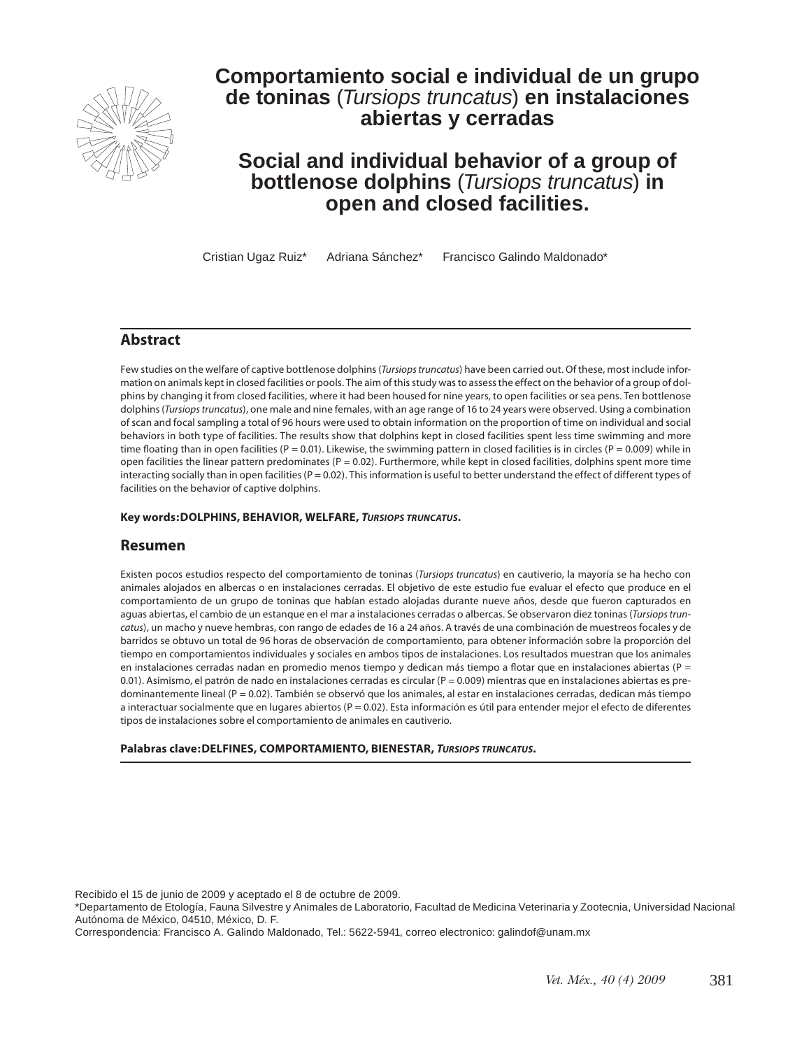

# **Comportamiento social e individual de un grupo de toninas** (*Tursiops truncatus*) **en instalaciones abiertas y cerradas**

# **Social and individual behavior of a group of bottlenose dolphins** (*Tursiops truncatus*) **in open and closed facilities.**

Cristian Ugaz Ruiz\* Adriana Sánchez\* Francisco Galindo Maldonado\*

#### **Abstract**

Few studies on the welfare of captive bottlenose dolphins (*Tursiops truncatus*) have been carried out. Of these, most include information on animals kept in closed facilities or pools. The aim of this study was to assess the effect on the behavior of a group of dolphins by changing it from closed facilities, where it had been housed for nine years, to open facilities or sea pens. Ten bottlenose dolphins (*Tursiops truncatus*), one male and nine females, with an age range of 16 to 24 years were observed. Using a combination of scan and focal sampling a total of 96 hours were used to obtain information on the proportion of time on individual and social behaviors in both type of facilities. The results show that dolphins kept in closed facilities spent less time swimming and more time floating than in open facilities ( $P = 0.01$ ). Likewise, the swimming pattern in closed facilities is in circles ( $P = 0.009$ ) while in open facilities the linear pattern predominates ( $P = 0.02$ ). Furthermore, while kept in closed facilities, dolphins spent more time interacting socially than in open facilities ( $P = 0.02$ ). This information is useful to better understand the effect of different types of facilities on the behavior of captive dolphins.

#### **Key words:DOLPHINS, BEHAVIOR, WELFARE,** *Tursiops truncatus***.**

#### **Resumen**

Existen pocos estudios respecto del comportamiento de toninas (*Tursiops truncatus*) en cautiverio, la mayoría se ha hecho con animales alojados en albercas o en instalaciones cerradas. El objetivo de este estudio fue evaluar el efecto que produce en el comportamiento de un grupo de toninas que habían estado alojadas durante nueve años, desde que fueron capturados en aguas abiertas, el cambio de un estanque en el mar a instalaciones cerradas o albercas. Se observaron diez toninas (*Tursiops truncatus*), un macho y nueve hembras, con rango de edades de 16 a 24 años. A través de una combinación de muestreos focales y de barridos se obtuvo un total de 96 horas de observación de comportamiento, para obtener información sobre la proporción del tiempo en comportamientos individuales y sociales en ambos tipos de instalaciones. Los resultados muestran que los animales en instalaciones cerradas nadan en promedio menos tiempo y dedican más tiempo a flotar que en instalaciones abiertas ( $P =$ 0.01). Asimismo, el patrón de nado en instalaciones cerradas es circular (P = 0.009) mientras que en instalaciones abiertas es predominantemente lineal (P = 0.02). También se observó que los animales, al estar en instalaciones cerradas, dedican más tiempo a interactuar socialmente que en lugares abiertos ( $P = 0.02$ ). Esta información es útil para entender mejor el efecto de diferentes tipos de instalaciones sobre el comportamiento de animales en cautiverio.

#### **Palabras clave:DELFINES, COMPORTAMIENTO, BIENESTAR,** *Tursiops truncatus***.**

Recibido el 15 de junio de 2009 y aceptado el 8 de octubre de 2009.

Correspondencia: Francisco A. Galindo Maldonado, Tel.: 5622-5941, correo electronico: galindof@unam.mx

<sup>\*</sup>Departamento de Etología, Fauna Silvestre y Animales de Laboratorio, Facultad de Medicina Veterinaria y Zootecnia, Universidad Nacional Autónoma de México, 04510, México, D. F.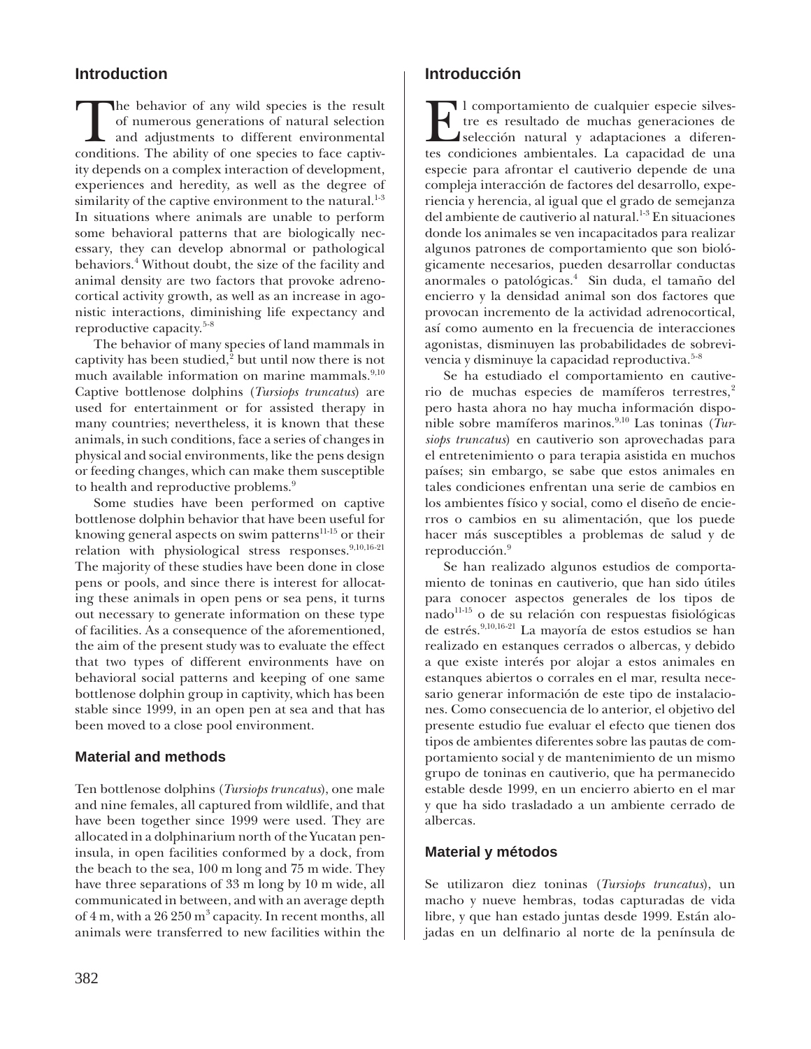# **Introduction**

The behavior of any wild species is the result<br>of numerous generations of natural selection<br>and adjustments to different environmental<br>conditions. The ability of one species to face cantivof numerous generations of natural selection and adjustments to different environmental conditions. The ability of one species to face captivity depends on a complex interaction of development, experiences and heredity, as well as the degree of similarity of the captive environment to the natural. $1\cdot3$ In situations where animals are unable to perform some behavioral patterns that are biologically necessary, they can develop abnormal or pathological behaviors.4 Without doubt, the size of the facility and animal density are two factors that provoke adrenocortical activity growth, as well as an increase in agonistic interactions, diminishing life expectancy and reproductive capacity.5-8

The behavior of many species of land mammals in captivity has been studied, $2$  but until now there is not much available information on marine mammals.<sup>9,10</sup> Captive bottlenose dolphins (*Tursiops truncatus*) are used for entertainment or for assisted therapy in many countries; nevertheless, it is known that these animals, in such conditions, face a series of changes in physical and social environments, like the pens design or feeding changes, which can make them susceptible to health and reproductive problems.<sup>9</sup>

Some studies have been performed on captive bottlenose dolphin behavior that have been useful for knowing general aspects on swim patterns<sup>11-15</sup> or their relation with physiological stress responses.9,10,16-21 The majority of these studies have been done in close pens or pools, and since there is interest for allocating these animals in open pens or sea pens, it turns out necessary to generate information on these type of facilities. As a consequence of the aforementioned, the aim of the present study was to evaluate the effect that two types of different environments have on behavioral social patterns and keeping of one same bottlenose dolphin group in captivity, which has been stable since 1999, in an open pen at sea and that has been moved to a close pool environment.

### **Material and methods**

Ten bottlenose dolphins (*Tursiops truncatus*), one male and nine females, all captured from wildlife, and that have been together since 1999 were used. They are allocated in a dolphinarium north of the Yucatan peninsula, in open facilities conformed by a dock, from the beach to the sea, 100 m long and 75 m wide. They have three separations of 33 m long by 10 m wide, all communicated in between, and with an average depth of 4 m, with a 26 250 m<sup>3</sup> capacity. In recent months, all animals were transferred to new facilities within the

## **Introducción**

El comportamiento de cualquier especie silves-<br>tre es resultado de muchas generaciones de<br>selección natural y adaptaciones a diferen-<br>tes condiciones ambientales. La canacidad de una tre es resultado de muchas generaciones de selección natural y adaptaciones a diferentes condiciones ambientales. La capacidad de una especie para afrontar el cautiverio depende de una compleja interacción de factores del desarrollo, experiencia y herencia, al igual que el grado de semejanza del ambiente de cautiverio al natural.<sup>1-3</sup> En situaciones donde los animales se ven incapacitados para realizar algunos patrones de comportamiento que son biológicamente necesarios, pueden desarrollar conductas anormales o patológicas.<sup>4</sup> Sin duda, el tamaño del encierro y la densidad animal son dos factores que provocan incremento de la actividad adrenocortical, así como aumento en la frecuencia de interacciones agonistas, disminuyen las probabilidades de sobrevivencia y disminuye la capacidad reproductiva.<sup>5-8</sup>

Se ha estudiado el comportamiento en cautiverio de muchas especies de mamíferos terrestres,<sup>2</sup> pero hasta ahora no hay mucha información disponible sobre mamíferos marinos.9,10 Las toninas (*Tursiops truncatus*) en cautiverio son aprovechadas para el entretenimiento o para terapia asistida en muchos países; sin embargo, se sabe que estos animales en tales condiciones enfrentan una serie de cambios en los ambientes físico y social, como el diseño de encierros o cambios en su alimentación, que los puede hacer más susceptibles a problemas de salud y de reproducción.<sup>9</sup>

Se han realizado algunos estudios de comportamiento de toninas en cautiverio, que han sido útiles para conocer aspectos generales de los tipos de nado<sup>11-15</sup> o de su relación con respuestas fisiológicas de estrés.<sup>9,10,16-21</sup> La mayoría de estos estudios se han realizado en estanques cerrados o albercas, y debido a que existe interés por alojar a estos animales en estanques abiertos o corrales en el mar, resulta necesario generar información de este tipo de instalaciones. Como consecuencia de lo anterior, el objetivo del presente estudio fue evaluar el efecto que tienen dos tipos de ambientes diferentes sobre las pautas de comportamiento social y de mantenimiento de un mismo grupo de toninas en cautiverio, que ha permanecido estable desde 1999, en un encierro abierto en el mar y que ha sido trasladado a un ambiente cerrado de albercas.

### **Material y métodos**

Se utilizaron diez toninas (*Tursiops truncatus*), un macho y nueve hembras, todas capturadas de vida libre, y que han estado juntas desde 1999. Están alojadas en un delfinario al norte de la península de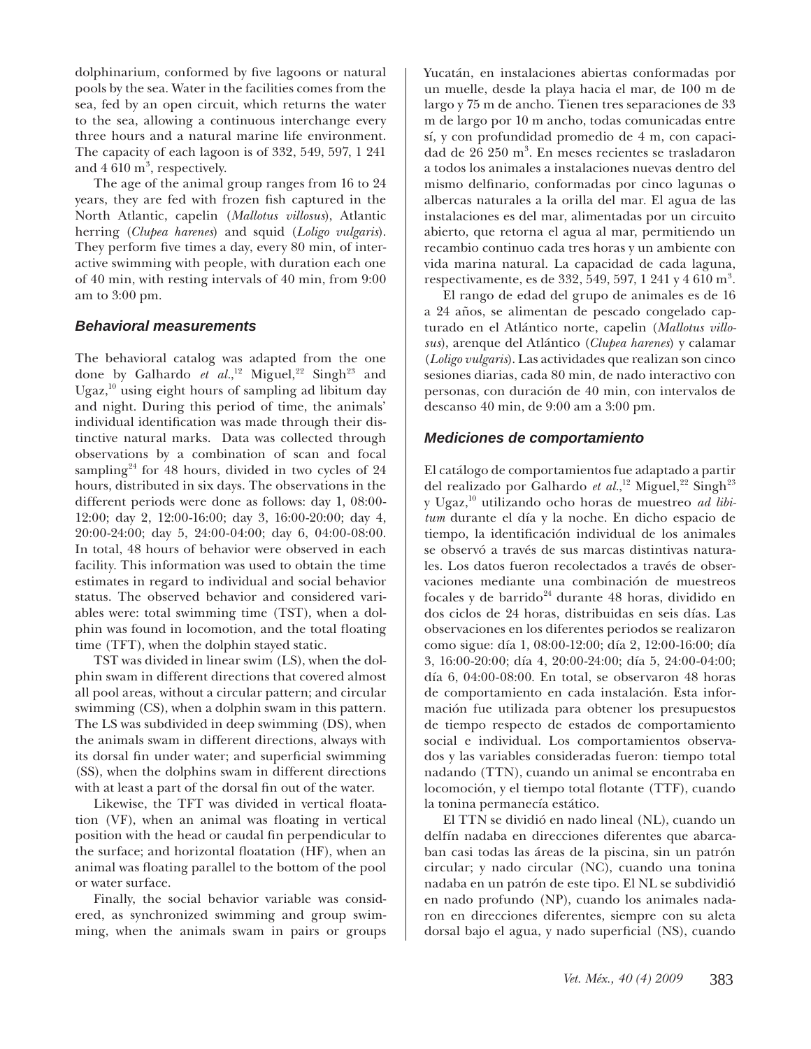dolphinarium, conformed by five lagoons or natural pools by the sea. Water in the facilities comes from the sea, fed by an open circuit, which returns the water to the sea, allowing a continuous interchange every three hours and a natural marine life environment. The capacity of each lagoon is of 332, 549, 597, 1 241 and  $4.610 \text{ m}^3$ , respectively.

The age of the animal group ranges from 16 to 24 years, they are fed with frozen fish captured in the North Atlantic, capelin (*Mallotus villosus*), Atlantic herring (*Clupea harenes*) and squid (*Loligo vulgaris*). They perform five times a day, every 80 min, of interactive swimming with people, with duration each one of 40 min, with resting intervals of 40 min, from 9:00 am to 3:00 pm.

#### *Behavioral measurements*

The behavioral catalog was adapted from the one done by Galhardo *et al.*,<sup>12</sup> Miguel,<sup>22</sup> Singh<sup>23</sup> and Ugaz, $10$  using eight hours of sampling ad libitum day and night. During this period of time, the animals' individual identification was made through their distinctive natural marks. Data was collected through observations by a combination of scan and focal sampling<sup>24</sup> for 48 hours, divided in two cycles of  $24$ hours, distributed in six days. The observations in the different periods were done as follows: day 1, 08:00- 12:00; day 2, 12:00-16:00; day 3, 16:00-20:00; day 4, 20:00-24:00; day 5, 24:00-04:00; day 6, 04:00-08:00. In total, 48 hours of behavior were observed in each facility. This information was used to obtain the time estimates in regard to individual and social behavior status. The observed behavior and considered variables were: total swimming time (TST), when a dolphin was found in locomotion, and the total floating time (TFT), when the dolphin stayed static.

TST was divided in linear swim (LS), when the dolphin swam in different directions that covered almost all pool areas, without a circular pattern; and circular swimming (CS), when a dolphin swam in this pattern. The LS was subdivided in deep swimming (DS), when the animals swam in different directions, always with its dorsal fin under water; and superficial swimming (SS), when the dolphins swam in different directions with at least a part of the dorsal fin out of the water.

Likewise, the TFT was divided in vertical floatation (VF), when an animal was floating in vertical position with the head or caudal fin perpendicular to the surface; and horizontal floatation (HF), when an animal was floating parallel to the bottom of the pool or water surface.

Finally, the social behavior variable was considered, as synchronized swimming and group swimming, when the animals swam in pairs or groups

Yucatán, en instalaciones abiertas conformadas por un muelle, desde la playa hacia el mar, de 100 m de largo y 75 m de ancho. Tienen tres separaciones de 33 m de largo por 10 m ancho, todas comunicadas entre sí, y con profundidad promedio de 4 m, con capacidad de 26 250 m<sup>3</sup>. En meses recientes se trasladaron a todos los animales a instalaciones nuevas dentro del mismo delfinario, conformadas por cinco lagunas o albercas naturales a la orilla del mar. El agua de las instalaciones es del mar, alimentadas por un circuito abierto, que retorna el agua al mar, permitiendo un recambio continuo cada tres horas y un ambiente con vida marina natural. La capacidad de cada laguna, respectivamente, es de 332, 549, 597, 1 241 y 4 610 m<sup>3</sup>.

El rango de edad del grupo de animales es de 16 a 24 años, se alimentan de pescado congelado capturado en el Atlántico norte, capelin (*Mallotus villosus*), arenque del Atlántico (*Clupea harenes*) y calamar (*Loligo vulgaris*). Las actividades que realizan son cinco sesiones diarias, cada 80 min, de nado interactivo con personas, con duración de 40 min, con intervalos de descanso 40 min, de 9:00 am a 3:00 pm.

#### *Mediciones de comportamiento*

El catálogo de comportamientos fue adaptado a partir del realizado por Galhardo et al.,<sup>12</sup> Miguel,<sup>22</sup> Singh<sup>23</sup> y Ugaz,10 utilizando ocho horas de muestreo *ad libitum* durante el día y la noche. En dicho espacio de tiempo, la identificación individual de los animales se observó a través de sus marcas distintivas naturales. Los datos fueron recolectados a través de observaciones mediante una combinación de muestreos focales y de barrido $24$  durante 48 horas, dividido en dos ciclos de 24 horas, distribuidas en seis días. Las observaciones en los diferentes periodos se realizaron como sigue: día 1, 08:00-12:00; día 2, 12:00-16:00; día 3, 16:00-20:00; día 4, 20:00-24:00; día 5, 24:00-04:00; día 6, 04:00-08:00. En total, se observaron 48 horas de comportamiento en cada instalación. Esta información fue utilizada para obtener los presupuestos de tiempo respecto de estados de comportamiento social e individual. Los comportamientos observados y las variables consideradas fueron: tiempo total nadando (TTN), cuando un animal se encontraba en locomoción, y el tiempo total flotante (TTF), cuando la tonina permanecía estático.

El TTN se dividió en nado lineal (NL), cuando un delfín nadaba en direcciones diferentes que abarcaban casi todas las áreas de la piscina, sin un patrón circular; y nado circular (NC), cuando una tonina nadaba en un patrón de este tipo. El NL se subdividió en nado profundo (NP), cuando los animales nadaron en direcciones diferentes, siempre con su aleta dorsal bajo el agua, y nado superficial (NS), cuando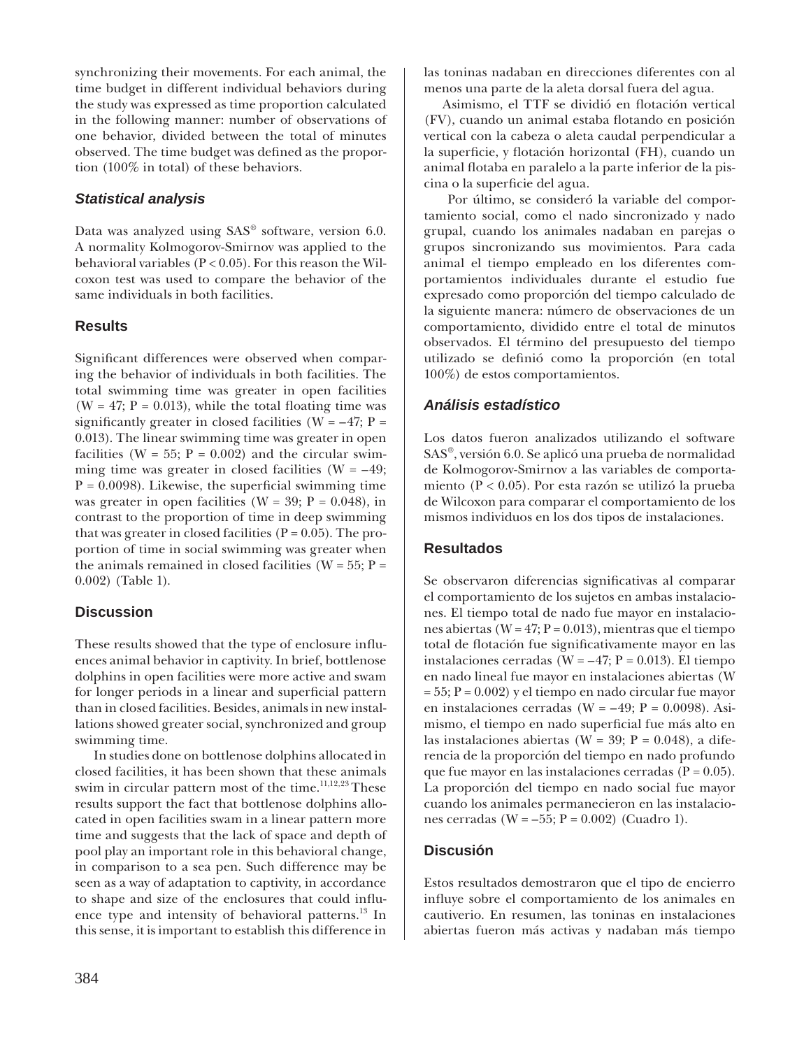synchronizing their movements. For each animal, the time budget in different individual behaviors during the study was expressed as time proportion calculated in the following manner: number of observations of one behavior, divided between the total of minutes observed. The time budget was defined as the proportion (100% in total) of these behaviors.

### *Statistical analysis*

Data was analyzed using SAS® software, version 6.0. A normality Kolmogorov-Smirnov was applied to the behavioral variables  $(P < 0.05)$ . For this reason the Wilcoxon test was used to compare the behavior of the same individuals in both facilities.

### **Results**

Significant differences were observed when comparing the behavior of individuals in both facilities. The total swimming time was greater in open facilities (W = 47;  $P = 0.013$ ), while the total floating time was significantly greater in closed facilities ( $W = -47$ ;  $P =$ 0.013). The linear swimming time was greater in open facilities (W = 55;  $P = 0.002$ ) and the circular swimming time was greater in closed facilities ( $W = -49$ ;  $P = 0.0098$ ). Likewise, the superficial swimming time was greater in open facilities ( $W = 39$ ;  $P = 0.048$ ), in contrast to the proportion of time in deep swimming that was greater in closed facilities ( $P = 0.05$ ). The proportion of time in social swimming was greater when the animals remained in closed facilities ( $W = 55$ ;  $P =$ 0.002) (Table 1).

# **Discussion**

These results showed that the type of enclosure influences animal behavior in captivity. In brief, bottlenose dolphins in open facilities were more active and swam for longer periods in a linear and superficial pattern than in closed facilities. Besides, animals in new installations showed greater social, synchronized and group swimming time.

In studies done on bottlenose dolphins allocated in closed facilities, it has been shown that these animals swim in circular pattern most of the time.<sup>11,12,23</sup> These results support the fact that bottlenose dolphins allocated in open facilities swam in a linear pattern more time and suggests that the lack of space and depth of pool play an important role in this behavioral change, in comparison to a sea pen. Such difference may be seen as a way of adaptation to captivity, in accordance to shape and size of the enclosures that could influence type and intensity of behavioral patterns.13 In this sense, it is important to establish this difference in

las toninas nadaban en direcciones diferentes con al menos una parte de la aleta dorsal fuera del agua.

Asimismo, el TTF se dividió en flotación vertical (FV), cuando un animal estaba flotando en posición vertical con la cabeza o aleta caudal perpendicular a la superficie, y flotación horizontal (FH), cuando un animal flotaba en paralelo a la parte inferior de la piscina o la superficie del agua.

 Por último, se consideró la variable del comportamiento social, como el nado sincronizado y nado grupal, cuando los animales nadaban en parejas o grupos sincronizando sus movimientos. Para cada animal el tiempo empleado en los diferentes comportamientos individuales durante el estudio fue expresado como proporción del tiempo calculado de la siguiente manera: número de observaciones de un comportamiento, dividido entre el total de minutos observados. El término del presupuesto del tiempo utilizado se definió como la proporción (en total 100%) de estos comportamientos.

# *Análisis estadístico*

Los datos fueron analizados utilizando el software SAS®, versión 6.0. Se aplicó una prueba de normalidad de Kolmogorov-Smirnov a las variables de comportamiento (P < 0.05). Por esta razón se utilizó la prueba de Wilcoxon para comparar el comportamiento de los mismos individuos en los dos tipos de instalaciones.

### **Resultados**

Se observaron diferencias significativas al comparar el comportamiento de los sujetos en ambas instalaciones. El tiempo total de nado fue mayor en instalaciones abiertas ( $W = 47$ ;  $P = 0.013$ ), mientras que el tiempo total de flotación fue significativamente mayor en las instalaciones cerradas (W =  $-47$ ; P = 0.013). El tiempo en nado lineal fue mayor en instalaciones abiertas (W  $= 55; P = 0.002$ ) y el tiempo en nado circular fue mayor en instalaciones cerradas (W =  $-49$ ; P = 0.0098). Asimismo, el tiempo en nado superficial fue más alto en las instalaciones abiertas (W = 39; P = 0.048), a diferencia de la proporción del tiempo en nado profundo que fue mayor en las instalaciones cerradas ( $P = 0.05$ ). La proporción del tiempo en nado social fue mayor cuando los animales permanecieron en las instalaciones cerradas ( $W = -55$ ;  $P = 0.002$ ) (Cuadro 1).

# **Discusión**

Estos resultados demostraron que el tipo de encierro influye sobre el comportamiento de los animales en cautiverio. En resumen, las toninas en instalaciones abiertas fueron más activas y nadaban más tiempo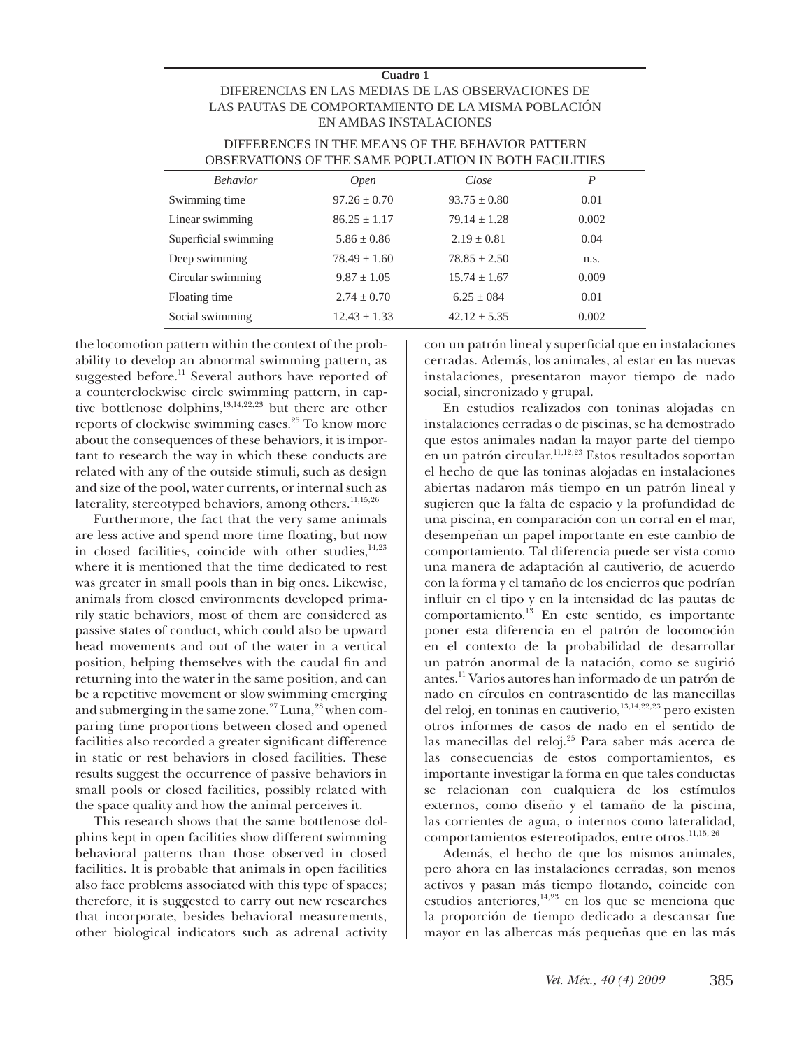#### **Cuadro 1**

#### DIFERENCIAS EN LAS MEDIAS DE LAS OBSERVACIONES DE LAS PAUTAS DE COMPORTAMIENTO DE LA MISMA POBLACIÓN EN AMBAS INSTALACIONES

| <u> v bili iliyi ili ve hekarar ve v bili iliye hekarar hashladi b</u> |                  |                  |       |
|------------------------------------------------------------------------|------------------|------------------|-------|
| <b>Behavior</b>                                                        | <i>Open</i>      | Close            | P     |
| Swimming time                                                          | $97.26 \pm 0.70$ | $93.75 \pm 0.80$ | 0.01  |
| Linear swimming                                                        | $86.25 \pm 1.17$ | $79.14 \pm 1.28$ | 0.002 |
| Superficial swimming                                                   | $5.86 \pm 0.86$  | $2.19 + 0.81$    | 0.04  |
| Deep swimming                                                          | $78.49 \pm 1.60$ | $78.85 + 2.50$   | n.s.  |
| Circular swimming                                                      | $9.87 + 1.05$    | $15.74 + 1.67$   | 0.009 |
| Floating time                                                          | $2.74 \pm 0.70$  | $6.25 + 0.84$    | 0.01  |
| Social swimming                                                        | $12.43 \pm 1.33$ | $42.12 \pm 5.35$ | 0.002 |

#### DIFFERENCES IN THE MEANS OF THE BEHAVIOR PATTERN OBSERVATIONS OF THE SAME POPUL ATION IN BOTH FACILITIES

the locomotion pattern within the context of the probability to develop an abnormal swimming pattern, as suggested before.<sup>11</sup> Several authors have reported of a counterclockwise circle swimming pattern, in captive bottlenose dolphins,<sup>13,14,22,23</sup> but there are other reports of clockwise swimming cases.<sup>25</sup> To know more about the consequences of these behaviors, it is important to research the way in which these conducts are related with any of the outside stimuli, such as design and size of the pool, water currents, or internal such as laterality, stereotyped behaviors, among others.<sup>11,15,26</sup>

Furthermore, the fact that the very same animals are less active and spend more time floating, but now in closed facilities, coincide with other studies, $14,23$ where it is mentioned that the time dedicated to rest was greater in small pools than in big ones. Likewise, animals from closed environments developed primarily static behaviors, most of them are considered as passive states of conduct, which could also be upward head movements and out of the water in a vertical position, helping themselves with the caudal fin and returning into the water in the same position, and can be a repetitive movement or slow swimming emerging and submerging in the same zone.<sup>27</sup> Luna,<sup>28</sup> when comparing time proportions between closed and opened facilities also recorded a greater significant difference in static or rest behaviors in closed facilities. These results suggest the occurrence of passive behaviors in small pools or closed facilities, possibly related with the space quality and how the animal perceives it.

This research shows that the same bottlenose dolphins kept in open facilities show different swimming behavioral patterns than those observed in closed facilities. It is probable that animals in open facilities also face problems associated with this type of spaces; therefore, it is suggested to carry out new researches that incorporate, besides behavioral measurements, other biological indicators such as adrenal activity con un patrón lineal y superficial que en instalaciones cerradas. Además, los animales, al estar en las nuevas instalaciones, presentaron mayor tiempo de nado social, sincronizado y grupal.

En estudios realizados con toninas alojadas en instalaciones cerradas o de piscinas, se ha demostrado que estos animales nadan la mayor parte del tiempo en un patrón circular.<sup>11,12,23</sup> Estos resultados soportan el hecho de que las toninas alojadas en instalaciones abiertas nadaron más tiempo en un patrón lineal y sugieren que la falta de espacio y la profundidad de una piscina, en comparación con un corral en el mar, desempeñan un papel importante en este cambio de comportamiento. Tal diferencia puede ser vista como una manera de adaptación al cautiverio, de acuerdo con la forma y el tamaño de los encierros que podrían influir en el tipo y en la intensidad de las pautas de comportamiento.13 En este sentido, es importante poner esta diferencia en el patrón de locomoción en el contexto de la probabilidad de desarrollar un patrón anormal de la natación, como se sugirió antes.11 Varios autores han informado de un patrón de nado en círculos en contrasentido de las manecillas del reloj, en toninas en cautiverio,<sup>13,14,22,23</sup> pero existen otros informes de casos de nado en el sentido de las manecillas del reloj.25 Para saber más acerca de las consecuencias de estos comportamientos, es importante investigar la forma en que tales conductas se relacionan con cualquiera de los estímulos externos, como diseño y el tamaño de la piscina, las corrientes de agua, o internos como lateralidad, comportamientos estereotipados, entre otros.<sup>11,15, 26</sup>

Además, el hecho de que los mismos animales, pero ahora en las instalaciones cerradas, son menos activos y pasan más tiempo flotando, coincide con estudios anteriores, $14,23$  en los que se menciona que la proporción de tiempo dedicado a descansar fue mayor en las albercas más pequeñas que en las más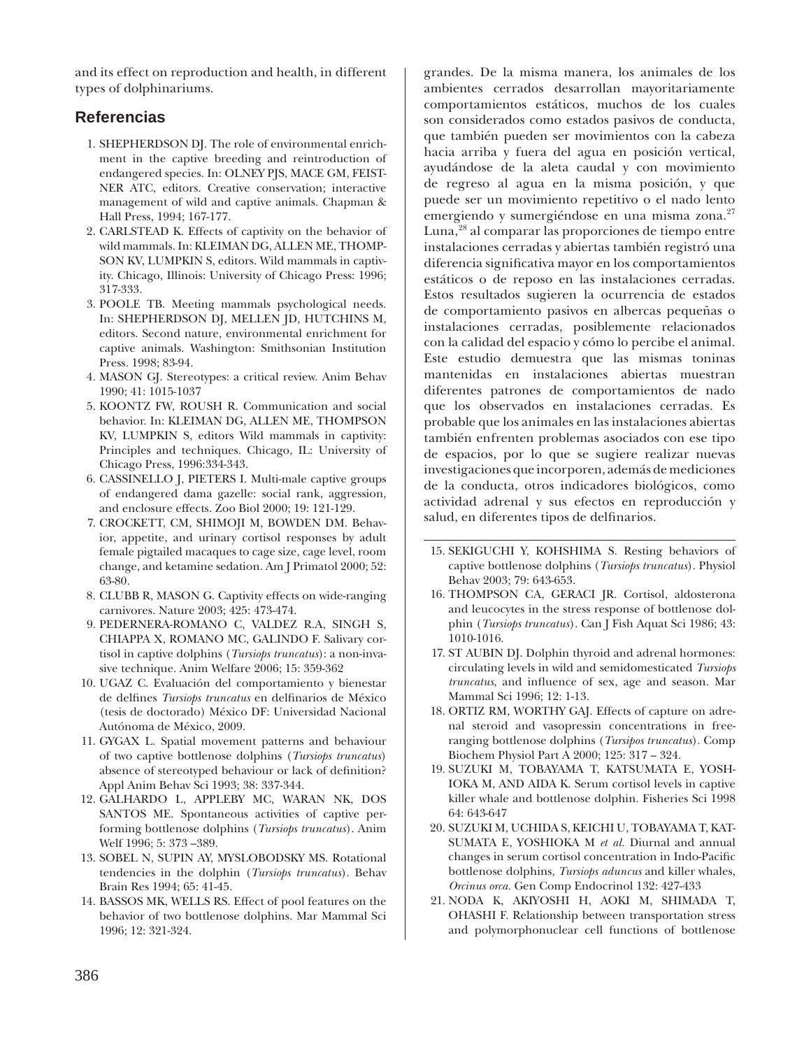and its effect on reproduction and health, in different types of dolphinariums.

# **Referencias**

- SHEPHERDSON DJ. The role of environmental enrich-1. ment in the captive breeding and reintroduction of endangered species. In: OLNEY PJS, MACE GM, FEIST-NER ATC, editors. Creative conservation; interactive management of wild and captive animals. Chapman & Hall Press, 1994; 167-177.
- 2. CARLSTEAD K. Effects of captivity on the behavior of wild mammals. In: KLEIMAN DG, ALLEN ME, THOMP-SON KV, LUMPKIN S, editors. Wild mammals in captivity. Chicago, Illinois: University of Chicago Press: 1996; 317-333.
- 3. POOLE TB. Meeting mammals psychological needs. In: SHEPHERDSON DJ, MELLEN JD, HUTCHINS M, editors. Second nature, environmental enrichment for captive animals. Washington: Smithsonian Institution Press. 1998; 83-94.
- MASON GJ. Stereotypes: a critical review. Anim Behav 4. 1990; 41: 1015-1037
- 5. KOONTZ FW, ROUSH R. Communication and social behavior. In: KLEIMAN DG, ALLEN ME, THOMPSON KV, LUMPKIN S, editors Wild mammals in captivity: Principles and techniques. Chicago, IL: University of Chicago Press, 1996:334-343.
- CASSINELLO J, PIETERS I. Multi-male captive groups 6. of endangered dama gazelle: social rank, aggression, and enclosure effects. Zoo Biol 2000; 19: 121-129.
- 7. CROCKETT, CM, SHIMOJI M, BOWDEN DM. Behavior, appetite, and urinary cortisol responses by adult female pigtailed macaques to cage size, cage level, room change, and ketamine sedation. Am J Primatol 2000; 52: 63-80.
- 8. CLUBB R, MASON G. Captivity effects on wide-ranging carnivores. Nature 2003; 425: 473-474.
- 9. PEDERNERA-ROMANO C, VALDEZ R.A, SINGH S, CHIAPPA X, ROMANO MC, GALINDO F. Salivary cortisol in captive dolphins (*Tursiops truncatus*): a non-invasive technique. Anim Welfare 2006; 15: 359-362
- 10. UGAZ C. Evaluación del comportamiento y bienestar de delfines *Tursiops truncatus* en delfinarios de México (tesis de doctorado) México DF: Universidad Nacional Autónoma de México, 2009.
- 11. GYGAX L. Spatial movement patterns and behaviour of two captive bottlenose dolphins (*Tursiops truncatus*) absence of stereotyped behaviour or lack of definition? Appl Anim Behav Sci 1993; 38: 337-344.
- GALHARDO L, APPLEBY MC, WARAN NK, DOS 12. SANTOS ME. Spontaneous activities of captive performing bottlenose dolphins (*Tursiops truncatus*). Anim Welf 1996; 5: 373 –389.
- 13. SOBEL N, SUPIN AY, MYSLOBODSKY MS. Rotational tendencies in the dolphin (*Tursiops truncatus*). Behav Brain Res 1994; 65: 41-45.
- 14. BASSOS MK, WELLS RS. Effect of pool features on the behavior of two bottlenose dolphins. Mar Mammal Sci 1996; 12: 321-324.

grandes. De la misma manera, los animales de los ambientes cerrados desarrollan mayoritariamente comportamientos estáticos, muchos de los cuales son considerados como estados pasivos de conducta, que también pueden ser movimientos con la cabeza hacia arriba y fuera del agua en posición vertical, ayudándose de la aleta caudal y con movimiento de regreso al agua en la misma posición, y que puede ser un movimiento repetitivo o el nado lento emergiendo y sumergiéndose en una misma zona.<sup>27</sup> Luna,28 al comparar las proporciones de tiempo entre instalaciones cerradas y abiertas también registró una diferencia significativa mayor en los comportamientos estáticos o de reposo en las instalaciones cerradas. Estos resultados sugieren la ocurrencia de estados de comportamiento pasivos en albercas pequeñas o instalaciones cerradas, posiblemente relacionados con la calidad del espacio y cómo lo percibe el animal. Este estudio demuestra que las mismas toninas mantenidas en instalaciones abiertas muestran diferentes patrones de comportamientos de nado que los observados en instalaciones cerradas. Es probable que los animales en las instalaciones abiertas también enfrenten problemas asociados con ese tipo de espacios, por lo que se sugiere realizar nuevas investigaciones que incorporen, además de mediciones de la conducta, otros indicadores biológicos, como actividad adrenal y sus efectos en reproducción y salud, en diferentes tipos de delfinarios.

- 15. SEKIGUCHI Y, KOHSHIMA S. Resting behaviors of captive bottlenose dolphins (*Tursiops truncatus*). Physiol Behav 2003; 79: 643-653.
- 16. THOMPSON CA, GERACI JR. Cortisol, aldosterona and leucocytes in the stress response of bottlenose dolphin (*Tursiops truncatus*). Can J Fish Aquat Sci 1986; 43: 1010-1016.
- 17. ST AUBIN DJ. Dolphin thyroid and adrenal hormones: circulating levels in wild and semidomesticated *Tursiops truncatus*, and influence of sex, age and season. Mar Mammal Sci 1996; 12: 1-13.
- 18. ORTIZ RM, WORTHY GAJ. Effects of capture on adrenal steroid and vasopressin concentrations in freeranging bottlenose dolphins (*Tursipos truncatus*). Comp Biochem Physiol Part A 2000; 125: 317 – 324.
- 19. SUZUKI M, TOBAYAMA T, KATSUMATA E, YOSH-IOKA M, AND AIDA K. Serum cortisol levels in captive killer whale and bottlenose dolphin. Fisheries Sci 1998 64: 643-647
- 20. SUZUKI M, UCHIDA S, KEICHI U, TOBAYAMA T, KAT-SUMATA E, YOSHIOKA M *et al.* Diurnal and annual changes in serum cortisol concentration in Indo-Pacific bottlenose dolphins, *Tursiops aduncus* and killer whales, *Orcinus orca.* Gen Comp Endocrinol 132: 427-433
- NODA K, AKIYOSHI H, AOKI M, SHIMADA T, 21.OHASHI F. Relationship between transportation stress and polymorphonuclear cell functions of bottlenose